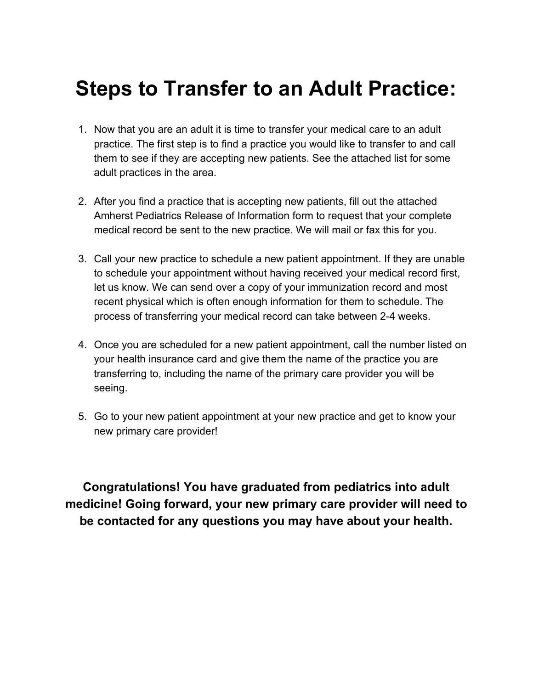# **Steps to Transfer to an Adult Practice:**

- 1. Now that you are an adult it is time to transfer your medical care to an adult practice. The first step is to find a practice you would like to transfer to and call them to see if they are accepting new patients. See the attached list for some adult practices in the area.
- 2. After you find a practice that is accepting new patients, fill out the attached Amherst Pediatrics Release of Information form to request that your complete medical record be sent to the new practice. We will mail or fax this for you.
- 3. Call your new practice to schedule a new patient appointment. If they are unable to schedule your appointment without having received your medical record first, let us know. We can send over a copy of your immunization record and most recent physical which is often enough information for them to schedule. The process of transferring your medical record can take between 2-4 weeks.
- 4. Once you are scheduled for a new patient appointment, call the number listed on your health insurance card and give them the name of the practice you are transferring to, including the name of the primary care provider you will be seeing.
- 5. Go to your new patient appointment at your new practice and get to know your new primary care provider!

**Congratulations! You have graduated from pediatrics into adult medicine! Going forward, your new primary care provider will need to be contacted for any questions you may have about your health.**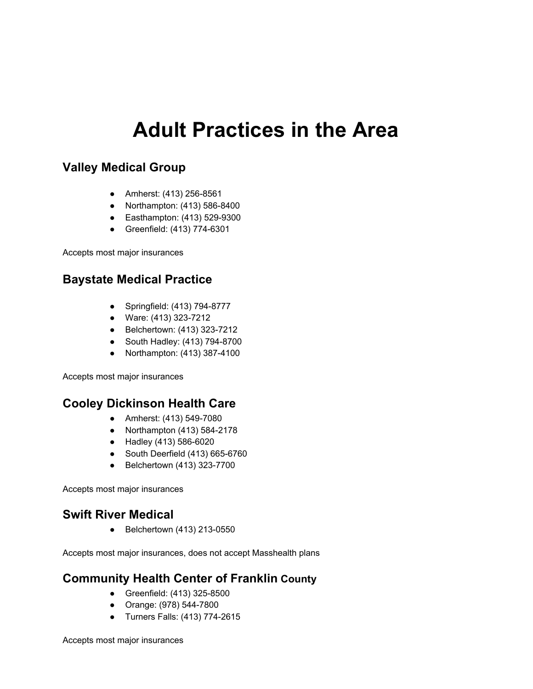# **Adult Practices in the Area**

### **Valley Medical Group**

- Amherst: (413) 256-8561
- Northampton: (413) 586-8400
- Easthampton: (413) 529-9300
- Greenfield: (413) 774-6301

Accepts most major insurances

## **Baystate Medical Practice**

- Springfield: (413) 794-8777
- Ware: (413) 323-7212
- Belchertown: (413) 323-7212
- South Hadley: (413) 794-8700
- Northampton: (413) 387-4100

Accepts most major insurances

#### **Cooley Dickinson Health Care**

- Amherst: (413) 549-7080
- Northampton (413) 584-2178
- Hadley (413) 586-6020
- South Deerfield (413) 665-6760
- Belchertown (413) 323-7700

Accepts most major insurances

#### **Swift River Medical**

● Belchertown (413) 213-0550

Accepts most major insurances, does not accept Masshealth plans

## **Community Health Center of Franklin County**

- Greenfield: (413) 325-8500
- Orange: (978) 544-7800
- Turners Falls: (413) 774-2615

Accepts most major insurances